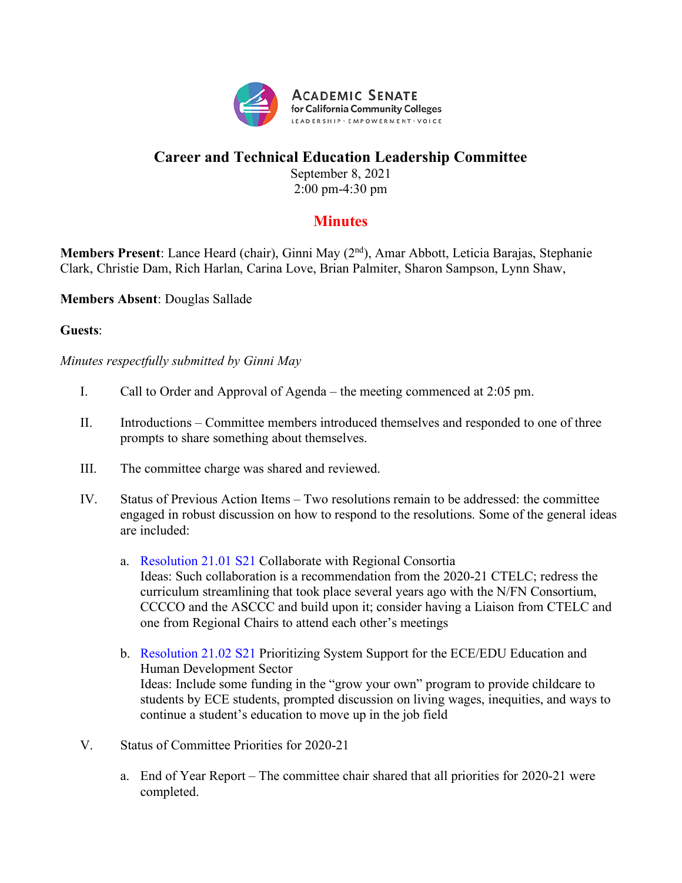

## **Career and Technical Education Leadership Committee**

September 8, 2021 2:00 pm-4:30 pm

## **Minutes**

**Members Present**: Lance Heard (chair), Ginni May (2nd), Amar Abbott, Leticia Barajas, Stephanie Clark, Christie Dam, Rich Harlan, Carina Love, Brian Palmiter, Sharon Sampson, Lynn Shaw,

**Members Absent**: Douglas Sallade

## **Guests**:

*Minutes respectfully submitted by Ginni May*

- I. Call to Order and Approval of Agenda the meeting commenced at 2:05 pm.
- II. Introductions Committee members introduced themselves and responded to one of three prompts to share something about themselves.
- III. The committee charge was shared and reviewed.
- IV. Status of Previous Action Items Two resolutions remain to be addressed: the committee engaged in robust discussion on how to respond to the resolutions. Some of the general ideas are included:
	- a. Resolution 21.01 S21 Collaborate with Regional Consortia Ideas: Such collaboration is a recommendation from the 2020-21 CTELC; redress the curriculum streamlining that took place several years ago with the N/FN Consortium, CCCCO and the ASCCC and build upon it; consider having a Liaison from CTELC and one from Regional Chairs to attend each other's meetings
	- b. Resolution 21.02 S21 Prioritizing System Support for the ECE/EDU Education and Human Development Sector Ideas: Include some funding in the "grow your own" program to provide childcare to students by ECE students, prompted discussion on living wages, inequities, and ways to continue a student's education to move up in the job field
- V. Status of Committee Priorities for 2020-21
	- a. End of Year Report The committee chair shared that all priorities for 2020-21 were completed.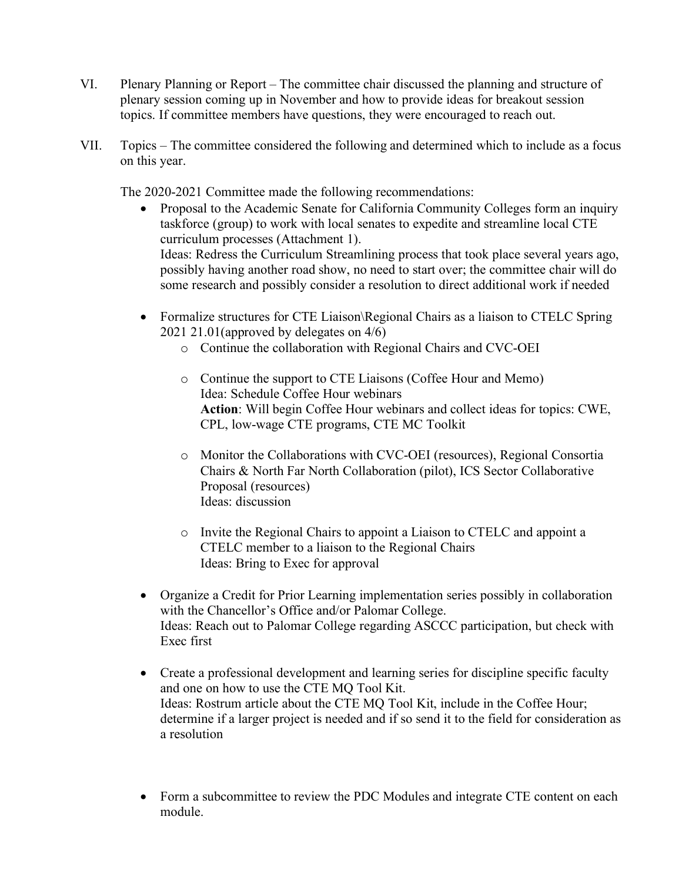- VI. Plenary Planning or Report The committee chair discussed the planning and structure of plenary session coming up in November and how to provide ideas for breakout session topics. If committee members have questions, they were encouraged to reach out.
- VII. Topics The committee considered the following and determined which to include as a focus on this year.

The 2020-2021 Committee made the following recommendations:

- Proposal to the Academic Senate for California Community Colleges form an inquiry taskforce (group) to work with local senates to expedite and streamline local CTE curriculum processes (Attachment 1). Ideas: Redress the Curriculum Streamlining process that took place several years ago, possibly having another road show, no need to start over; the committee chair will do some research and possibly consider a resolution to direct additional work if needed
- Formalize structures for CTE Liaison\Regional Chairs as a liaison to CTELC Spring 2021 21.01(approved by delegates on 4/6)
	- o Continue the collaboration with Regional Chairs and CVC-OEI
	- o Continue the support to CTE Liaisons (Coffee Hour and Memo) Idea: Schedule Coffee Hour webinars **Action**: Will begin Coffee Hour webinars and collect ideas for topics: CWE, CPL, low-wage CTE programs, CTE MC Toolkit
	- o Monitor the Collaborations with CVC-OEI (resources), Regional Consortia Chairs & North Far North Collaboration (pilot), ICS Sector Collaborative Proposal (resources) Ideas: discussion
	- o Invite the Regional Chairs to appoint a Liaison to CTELC and appoint a CTELC member to a liaison to the Regional Chairs Ideas: Bring to Exec for approval
- Organize a Credit for Prior Learning implementation series possibly in collaboration with the Chancellor's Office and/or Palomar College. Ideas: Reach out to Palomar College regarding ASCCC participation, but check with Exec first
- Create a professional development and learning series for discipline specific faculty and one on how to use the CTE MQ Tool Kit. Ideas: Rostrum article about the CTE MQ Tool Kit, include in the Coffee Hour; determine if a larger project is needed and if so send it to the field for consideration as a resolution
- Form a subcommittee to review the PDC Modules and integrate CTE content on each module.